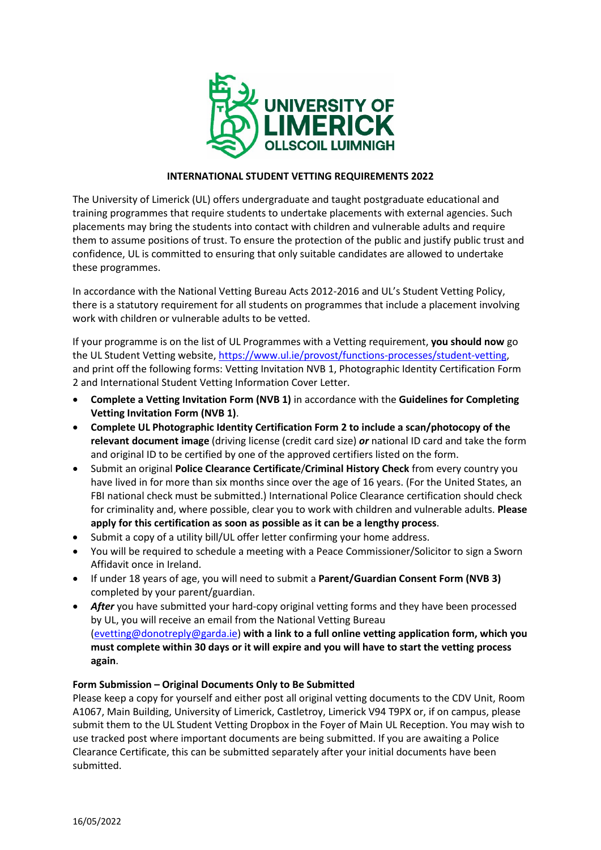

# **INTERNATIONAL STUDENT VETTING REQUIREMENTS 2022**

The University of Limerick (UL) offers undergraduate and taught postgraduate educational and training programmes that require students to undertake placements with external agencies. Such placements may bring the students into contact with children and vulnerable adults and require them to assume positions of trust. To ensure the protection of the public and justify public trust and confidence, UL is committed to ensuring that only suitable candidates are allowed to undertake these programmes.

In accordance with the National Vetting Bureau Acts 2012-2016 and UL's Student Vetting Policy, there is a statutory requirement for all students on programmes that include a placement involving work with children or vulnerable adults to be vetted.

If your programme is on the list of UL Programmes with a Vetting requirement, **you should now** go the UL Student Vetting website, [https://www.ul.ie/provost/functions-processes/student-vetting,](https://www.ul.ie/provost/functions-processes/student-vetting) and print off the following forms: Vetting Invitation NVB 1, Photographic Identity Certification Form 2 and International Student Vetting Information Cover Letter.

- **Complete a Vetting Invitation Form (NVB 1)** in accordance with the **Guidelines for Completing Vetting Invitation Form (NVB 1)**.
- **Complete UL Photographic Identity Certification Form 2 to include a scan/photocopy of the relevant document image** (driving license (credit card size) *or* national ID card and take the form and original ID to be certified by one of the approved certifiers listed on the form.
- Submit an original **Police Clearance Certificate**/**Criminal History Check** from every country you have lived in for more than six months since over the age of 16 years. (For the United States, an FBI national check must be submitted.) International Police Clearance certification should check for criminality and, where possible, clear you to work with children and vulnerable adults. **Please apply for this certification as soon as possible as it can be a lengthy process**.
- Submit a copy of a utility bill/UL offer letter confirming your home address.
- You will be required to schedule a meeting with a Peace Commissioner/Solicitor to sign a Sworn Affidavit once in Ireland.
- If under 18 years of age, you will need to submit a **Parent/Guardian Consent Form (NVB 3)**  completed by your parent/guardian.
- **After** you have submitted your hard-copy original vetting forms and they have been processed by UL, you will receive an email from the National Vetting Bureau [\(evetting@donotreply@garda.ie\)](mailto:evetting@donotreply@garda.ie) **with a link to a full online vetting application form, which you must complete within 30 days or it will expire and you will have to start the vetting process again**.

## **Form Submission – Original Documents Only to Be Submitted**

Please keep a copy for yourself and either post all original vetting documents to the CDV Unit, Room A1067, Main Building, University of Limerick, Castletroy, Limerick V94 T9PX or, if on campus, please submit them to the UL Student Vetting Dropbox in the Foyer of Main UL Reception. You may wish to use tracked post where important documents are being submitted. If you are awaiting a Police Clearance Certificate, this can be submitted separately after your initial documents have been submitted.